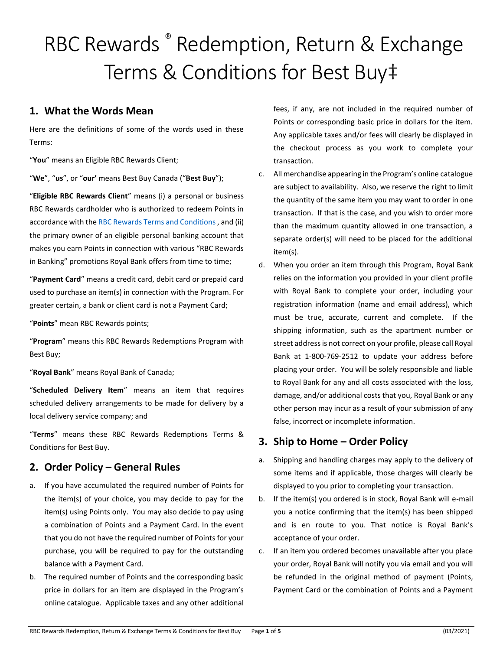# RBC Rewards ® Redemption, Return & Exchange Terms & Conditions for Best Buy‡

## **1. What the Words Mean**

Here are the definitions of some of the words used in these Terms:

"**You**" means an Eligible RBC Rewards Client;

"**We**", "**us**", or "**our'** means Best Buy Canada ("**Best Buy**");

"**Eligible RBC Rewards Client**" means (i) a personal or business RBC Rewards cardholder who is authorized to redeem Points in accordance with the [RBC Rewards Terms and Conditions](https://www.rbcrewards.com/terms-and-conditions/index-na.html) , and (ii) the primary owner of an eligible personal banking account that makes you earn Points in connection with various "RBC Rewards in Banking" promotions Royal Bank offers from time to time;

"**Payment Card**" means a credit card, debit card or prepaid card used to purchase an item(s) in connection with the Program. For greater certain, a bank or client card is not a Payment Card;

"**Points**" mean RBC Rewards points;

"**Program**" means this RBC Rewards Redemptions Program with Best Buy;

"**Royal Bank**" means Royal Bank of Canada;

"**Scheduled Delivery Item**" means an item that requires scheduled delivery arrangements to be made for delivery by a local delivery service company; and

"**Terms**" means these RBC Rewards Redemptions Terms & Conditions for Best Buy.

## **2. Order Policy – General Rules**

- a. If you have accumulated the required number of Points for the item(s) of your choice, you may decide to pay for the item(s) using Points only. You may also decide to pay using a combination of Points and a Payment Card. In the event that you do not have the required number of Points for your purchase, you will be required to pay for the outstanding balance with a Payment Card.
- b. The required number of Points and the corresponding basic price in dollars for an item are displayed in the Program's online catalogue. Applicable taxes and any other additional

fees, if any, are not included in the required number of Points or corresponding basic price in dollars for the item. Any applicable taxes and/or fees will clearly be displayed in the checkout process as you work to complete your transaction.

- c. All merchandise appearing in the Program's online catalogue are subject to availability. Also, we reserve the right to limit the quantity of the same item you may want to order in one transaction. If that is the case, and you wish to order more than the maximum quantity allowed in one transaction, a separate order(s) will need to be placed for the additional item(s).
- d. When you order an item through this Program, Royal Bank relies on the information you provided in your client profile with Royal Bank to complete your order, including your registration information (name and email address), which must be true, accurate, current and complete. If the shipping information, such as the apartment number or street address is not correct on your profile, please call Royal Bank at 1-800-769-2512 to update your address before placing your order. You will be solely responsible and liable to Royal Bank for any and all costs associated with the loss, damage, and/or additional costs that you, Royal Bank or any other person may incur as a result of your submission of any false, incorrect or incomplete information.

## **3. Ship to Home – Order Policy**

- a. Shipping and handling charges may apply to the delivery of some items and if applicable, those charges will clearly be displayed to you prior to completing your transaction.
- b. If the item(s) you ordered is in stock, Royal Bank will e-mail you a notice confirming that the item(s) has been shipped and is en route to you. That notice is Royal Bank's acceptance of your order.
- c. If an item you ordered becomes unavailable after you place your order, Royal Bank will notify you via email and you will be refunded in the original method of payment (Points, Payment Card or the combination of Points and a Payment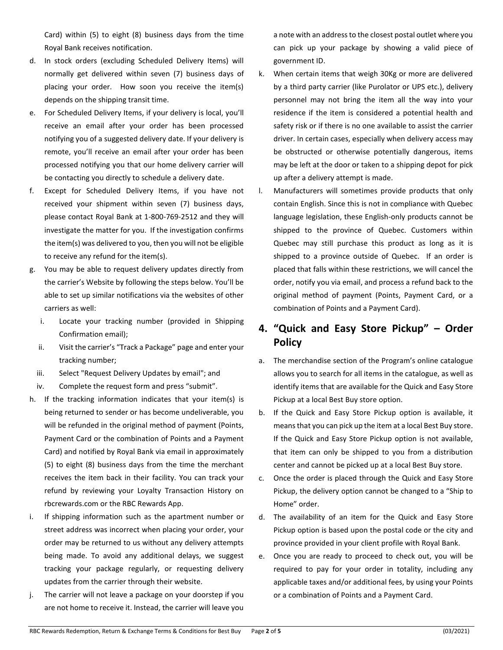Card) within (5) to eight (8) business days from the time Royal Bank receives notification.

- d. In stock orders (excluding Scheduled Delivery Items) will normally get delivered within seven (7) business days of placing your order. How soon you receive the item(s) depends on the shipping transit time.
- e. For Scheduled Delivery Items, if your delivery is local, you'll receive an email after your order has been processed notifying you of a suggested delivery date. If your delivery is remote, you'll receive an email after your order has been processed notifying you that our home delivery carrier will be contacting you directly to schedule a delivery date.
- f. Except for Scheduled Delivery Items, if you have not received your shipment within seven (7) business days, please contact Royal Bank at 1-800-769-2512 and they will investigate the matter for you. If the investigation confirms the item(s) was delivered to you, then you will not be eligible to receive any refund for the item(s).
- g. You may be able to request delivery updates directly from the carrier's Website by following the steps below. You'll be able to set up similar notifications via the websites of other carriers as well:
	- i. Locate your tracking number (provided in Shipping Confirmation email);
	- ii. Visit the carrier's "Track a Package" page and enter your tracking number;
	- iii. Select "Request Delivery Updates by email"; and
	- iv. Complete the request form and press "submit".
- h. If the tracking information indicates that your item(s) is being returned to sender or has become undeliverable, you will be refunded in the original method of payment (Points, Payment Card or the combination of Points and a Payment Card) and notified by Royal Bank via email in approximately (5) to eight (8) business days from the time the merchant receives the item back in their facility. You can track your refund by reviewing your Loyalty Transaction History on rbcrewards.com or the RBC Rewards App.
- i. If shipping information such as the apartment number or street address was incorrect when placing your order, your order may be returned to us without any delivery attempts being made. To avoid any additional delays, we suggest tracking your package regularly, or requesting delivery updates from the carrier through their website.
- j. The carrier will not leave a package on your doorstep if you are not home to receive it. Instead, the carrier will leave you

a note with an address to the closest postal outlet where you can pick up your package by showing a valid piece of government ID.

- k. When certain items that weigh 30Kg or more are delivered by a third party carrier (like Purolator or UPS etc.), delivery personnel may not bring the item all the way into your residence if the item is considered a potential health and safety risk or if there is no one available to assist the carrier driver. In certain cases, especially when delivery access may be obstructed or otherwise potentially dangerous, items may be left at the door or taken to a shipping depot for pick up after a delivery attempt is made.
- l. Manufacturers will sometimes provide products that only contain English. Since this is not in compliance with Quebec language legislation, these English-only products cannot be shipped to the province of Quebec. Customers within Quebec may still purchase this product as long as it is shipped to a province outside of Quebec. If an order is placed that falls within these restrictions, we will cancel the order, notify you via email, and process a refund back to the original method of payment (Points, Payment Card, or a combination of Points and a Payment Card).

# **4. "Quick and Easy Store Pickup" – Order Policy**

- a. The merchandise section of the Program's online catalogue allows you to search for all items in the catalogue, as well as identify items that are available for the Quick and Easy Store Pickup at a local Best Buy store option.
- b. If the Quick and Easy Store Pickup option is available, it means that you can pick up the item at a local Best Buy store. If the Quick and Easy Store Pickup option is not available, that item can only be shipped to you from a distribution center and cannot be picked up at a local Best Buy store.
- c. Once the order is placed through the Quick and Easy Store Pickup, the delivery option cannot be changed to a "Ship to Home" order.
- d. The availability of an item for the Quick and Easy Store Pickup option is based upon the postal code or the city and province provided in your client profile with Royal Bank.
- e. Once you are ready to proceed to check out, you will be required to pay for your order in totality, including any applicable taxes and/or additional fees, by using your Points or a combination of Points and a Payment Card.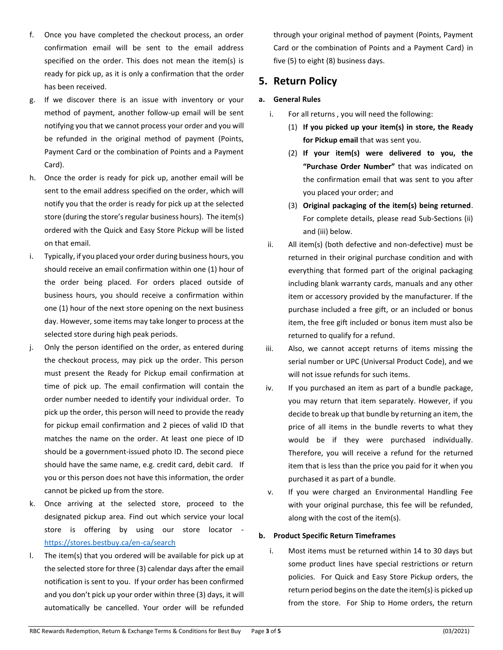- f. Once you have completed the checkout process, an order confirmation email will be sent to the email address specified on the order. This does not mean the item(s) is ready for pick up, as it is only a confirmation that the order has been received.
- g. If we discover there is an issue with inventory or your method of payment, another follow-up email will be sent notifying you that we cannot process your order and you will be refunded in the original method of payment (Points, Payment Card or the combination of Points and a Payment Card).
- h. Once the order is ready for pick up, another email will be sent to the email address specified on the order, which will notify you that the order is ready for pick up at the selected store (during the store's regular business hours). The item(s) ordered with the Quick and Easy Store Pickup will be listed on that email.
- i. Typically, if you placed your order during business hours, you should receive an email confirmation within one (1) hour of the order being placed. For orders placed outside of business hours, you should receive a confirmation within one (1) hour of the next store opening on the next business day. However, some items may take longer to process at the selected store during high peak periods.
- j. Only the person identified on the order, as entered during the checkout process, may pick up the order. This person must present the Ready for Pickup email confirmation at time of pick up. The email confirmation will contain the order number needed to identify your individual order. To pick up the order, this person will need to provide the ready for pickup email confirmation and 2 pieces of valid ID that matches the name on the order. At least one piece of ID should be a government-issued photo ID. The second piece should have the same name, e.g. credit card, debit card. If you or this person does not have this information, the order cannot be picked up from the store.
- k. Once arriving at the selected store, proceed to the designated pickup area. Find out which service your local store is offering by using our store locator <https://stores.bestbuy.ca/en-ca/search>
- l. The item(s) that you ordered will be available for pick up at the selected store for three (3) calendar days after the email notification is sent to you. If your order has been confirmed and you don't pick up your order within three (3) days, it will automatically be cancelled. Your order will be refunded

through your original method of payment (Points, Payment Card or the combination of Points and a Payment Card) in five (5) to eight (8) business days.

## **5. Return Policy**

## **a. General Rules**

- i. For all returns , you will need the following:
	- (1) **If you picked up your item(s) in store, the Ready for Pickup email** that was sent you.
	- (2) **If your item(s) were delivered to you, the "Purchase Order Number"** that was indicated on the confirmation email that was sent to you after you placed your order; and
	- (3) **Original packaging of the item(s) being returned**. For complete details, please read Sub-Sections (ii) and (iii) below.
- ii. All item(s) (both defective and non-defective) must be returned in their original purchase condition and with everything that formed part of the original packaging including blank warranty cards, manuals and any other item or accessory provided by the manufacturer. If the purchase included a free gift, or an included or bonus item, the free gift included or bonus item must also be returned to qualify for a refund.
- iii. Also, we cannot accept returns of items missing the serial number or UPC (Universal Product Code), and we will not issue refunds for such items.
- iv. If you purchased an item as part of a bundle package, you may return that item separately. However, if you decide to break up that bundle by returning an item, the price of all items in the bundle reverts to what they would be if they were purchased individually. Therefore, you will receive a refund for the returned item that is less than the price you paid for it when you purchased it as part of a bundle.
- v. If you were charged an Environmental Handling Fee with your original purchase, this fee will be refunded, along with the cost of the item(s).

### **b. Product Specific Return Timeframes**

i. Most items must be returned within 14 to 30 days but some product lines have special restrictions or return policies. For Quick and Easy Store Pickup orders, the return period begins on the date the item(s) is picked up from the store. For Ship to Home orders, the return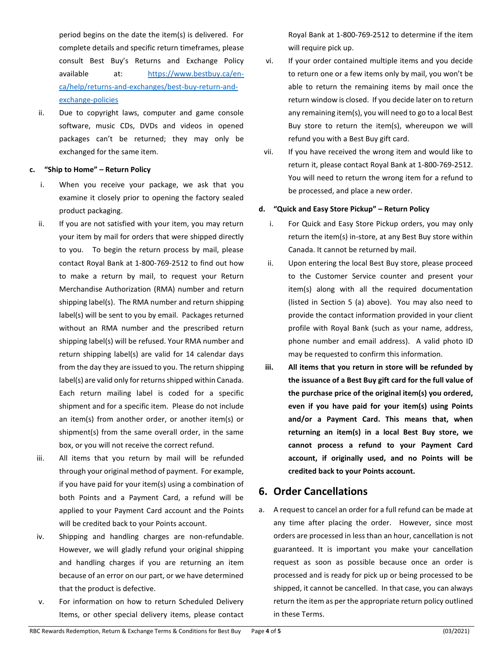period begins on the date the item(s) is delivered. For complete details and specific return timeframes, please consult Best Buy's Returns and Exchange Policy available at: [https://www.bestbuy.ca/en](https://www.bestbuy.ca/en-ca/help/returns-and-exchanges/best-buy-return-and-exchange-policies)[ca/help/returns-and-exchanges/best-buy-return-and](https://www.bestbuy.ca/en-ca/help/returns-and-exchanges/best-buy-return-and-exchange-policies)[exchange-policies](https://www.bestbuy.ca/en-ca/help/returns-and-exchanges/best-buy-return-and-exchange-policies)

ii. Due to copyright laws, computer and game console software, music CDs, DVDs and videos in opened packages can't be returned; they may only be exchanged for the same item.

#### **c. "Ship to Home" – Return Policy**

- i. When you receive your package, we ask that you examine it closely prior to opening the factory sealed product packaging.
- ii. If you are not satisfied with your item, you may return your item by mail for orders that were shipped directly to you. To begin the return process by mail, please contact Royal Bank at 1-800-769-2512 to find out how to make a return by mail, to request your Return Merchandise Authorization (RMA) number and return shipping label(s). The RMA number and return shipping label(s) will be sent to you by email. Packages returned without an RMA number and the prescribed return shipping label(s) will be refused. Your RMA number and return shipping label(s) are valid for 14 calendar days from the day they are issued to you. The return shipping label(s) are valid only for returns shipped within Canada. Each return mailing label is coded for a specific shipment and for a specific item. Please do not include an item(s) from another order, or another item(s) or shipment(s) from the same overall order, in the same box, or you will not receive the correct refund.
- iii. All items that you return by mail will be refunded through your original method of payment. For example, if you have paid for your item(s) using a combination of both Points and a Payment Card, a refund will be applied to your Payment Card account and the Points will be credited back to your Points account.
- iv. Shipping and handling charges are non-refundable. However, we will gladly refund your original shipping and handling charges if you are returning an item because of an error on our part, or we have determined that the product is defective.
- v. For information on how to return Scheduled Delivery Items, or other special delivery items, please contact

Royal Bank at 1-800-769-2512 to determine if the item will require pick up.

- vi. If your order contained multiple items and you decide to return one or a few items only by mail, you won't be able to return the remaining items by mail once the return window is closed. If you decide later on to return any remaining item(s), you will need to go to a local Best Buy store to return the item(s), whereupon we will refund you with a Best Buy gift card.
- vii. If you have received the wrong item and would like to return it, please contact Royal Bank at 1-800-769-2512. You will need to return the wrong item for a refund to be processed, and place a new order.

#### **d. "Quick and Easy Store Pickup" – Return Policy**

- i. For Quick and Easy Store Pickup orders, you may only return the item(s) in-store, at any Best Buy store within Canada. It cannot be returned by mail.
- ii. Upon entering the local Best Buy store, please proceed to the Customer Service counter and present your item(s) along with all the required documentation (listed in Section 5 (a) above). You may also need to provide the contact information provided in your client profile with Royal Bank (such as your name, address, phone number and email address). A valid photo ID may be requested to confirm this information.
- **iii. All items that you return in store will be refunded by the issuance of a Best Buy gift card for the full value of the purchase price of the original item(s) you ordered, even if you have paid for your item(s) using Points and/or a Payment Card. This means that, when returning an item(s) in a local Best Buy store, we cannot process a refund to your Payment Card account, if originally used, and no Points will be credited back to your Points account.**

## **6. Order Cancellations**

a. A request to cancel an order for a full refund can be made at any time after placing the order. However, since most orders are processed in less than an hour, cancellation is not guaranteed. It is important you make your cancellation request as soon as possible because once an order is processed and is ready for pick up or being processed to be shipped, it cannot be cancelled. In that case, you can always return the item as per the appropriate return policy outlined in these Terms.